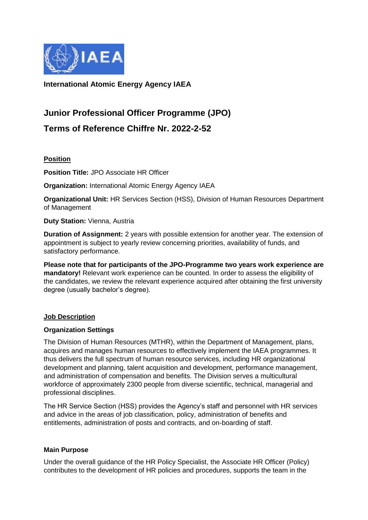

**International Atomic Energy Agency IAEA**

# **Junior Professional Officer Programme (JPO)**

**Terms of Reference Chiffre Nr. 2022-2-52**

# **Position**

**Position Title:** JPO Associate HR Officer

**Organization:** International Atomic Energy Agency IAEA

**Organizational Unit:** HR Services Section (HSS), Division of Human Resources Department of Management

**Duty Station:** Vienna, Austria

**Duration of Assignment:** 2 years with possible extension for another year. The extension of appointment is subject to yearly review concerning priorities, availability of funds, and satisfactory performance.

**Please note that for participants of the JPO-Programme two years work experience are mandatory!** Relevant work experience can be counted. In order to assess the eligibility of the candidates, we review the relevant experience acquired after obtaining the first university degree (usually bachelor's degree).

## **Job Description**

## **Organization Settings**

The Division of Human Resources (MTHR), within the Department of Management, plans, acquires and manages human resources to effectively implement the IAEA programmes. It thus delivers the full spectrum of human resource services, including HR organizational development and planning, talent acquisition and development, performance management, and administration of compensation and benefits. The Division serves a multicultural workforce of approximately 2300 people from diverse scientific, technical, managerial and professional disciplines.

The HR Service Section (HSS) provides the Agency's staff and personnel with HR services and advice in the areas of job classification, policy, administration of benefits and entitlements, administration of posts and contracts, and on-boarding of staff.

## **Main Purpose**

Under the overall guidance of the HR Policy Specialist, the Associate HR Officer (Policy) contributes to the development of HR policies and procedures, supports the team in the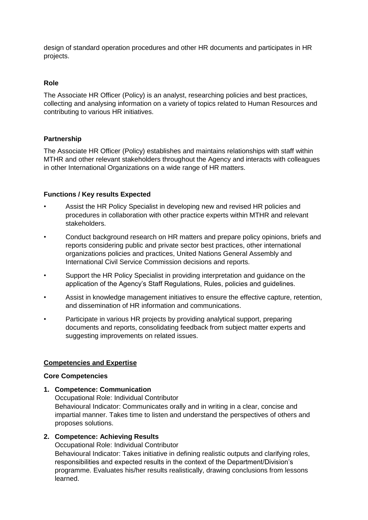design of standard operation procedures and other HR documents and participates in HR projects.

## **Role**

The Associate HR Officer (Policy) is an analyst, researching policies and best practices, collecting and analysing information on a variety of topics related to Human Resources and contributing to various HR initiatives.

## **Partnership**

The Associate HR Officer (Policy) establishes and maintains relationships with staff within MTHR and other relevant stakeholders throughout the Agency and interacts with colleagues in other International Organizations on a wide range of HR matters.

## **Functions / Key results Expected**

- Assist the HR Policy Specialist in developing new and revised HR policies and procedures in collaboration with other practice experts within MTHR and relevant stakeholders.
- Conduct background research on HR matters and prepare policy opinions, briefs and reports considering public and private sector best practices, other international organizations policies and practices, United Nations General Assembly and International Civil Service Commission decisions and reports.
- Support the HR Policy Specialist in providing interpretation and guidance on the application of the Agency's Staff Regulations, Rules, policies and guidelines.
- Assist in knowledge management initiatives to ensure the effective capture, retention, and dissemination of HR information and communications.
- Participate in various HR projects by providing analytical support, preparing documents and reports, consolidating feedback from subject matter experts and suggesting improvements on related issues.

# **Competencies and Expertise**

## **Core Competencies**

**1. Competence: Communication**

Occupational Role: Individual Contributor Behavioural Indicator: Communicates orally and in writing in a clear, concise and impartial manner. Takes time to listen and understand the perspectives of others and proposes solutions.

## **2. Competence: Achieving Results**

Occupational Role: Individual Contributor Behavioural Indicator: Takes initiative in defining realistic outputs and clarifying roles, responsibilities and expected results in the context of the Department/Division's programme. Evaluates his/her results realistically, drawing conclusions from lessons learned.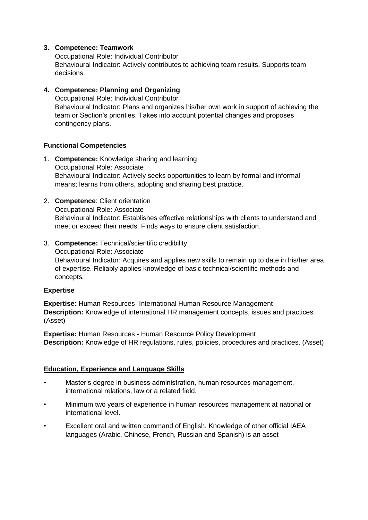## **3. Competence: Teamwork**

Occupational Role: Individual Contributor Behavioural Indicator: Actively contributes to achieving team results. Supports team decisions.

## **4. Competence: Planning and Organizing**

Occupational Role: Individual Contributor Behavioural Indicator: Plans and organizes his/her own work in support of achieving the team or Section's priorities. Takes into account potential changes and proposes contingency plans.

## **Functional Competencies**

- 1. **Competence:** Knowledge sharing and learning Occupational Role: Associate Behavioural Indicator: Actively seeks opportunities to learn by formal and informal means; learns from others, adopting and sharing best practice.
- 2. **Competence**: Client orientation Occupational Role: Associate Behavioural Indicator: Establishes effective relationships with clients to understand and meet or exceed their needs. Finds ways to ensure client satisfaction.
- 3. **Competence:** Technical/scientific credibility

Occupational Role: Associate Behavioural Indicator: Acquires and applies new skills to remain up to date in his/her area of expertise. Reliably applies knowledge of basic technical/scientific methods and concepts.

## **Expertise**

**Expertise:** Human Resources- International Human Resource Management **Description:** Knowledge of international HR management concepts, issues and practices. (Asset)

**Expertise:** Human Resources - Human Resource Policy Development **Description:** Knowledge of HR regulations, rules, policies, procedures and practices. (Asset)

# **Education, Experience and Language Skills**

- Master's degree in business administration, human resources management, international relations, law or a related field.
- Minimum two years of experience in human resources management at national or international level.
- Excellent oral and written command of English. Knowledge of other official IAEA languages (Arabic, Chinese, French, Russian and Spanish) is an asset